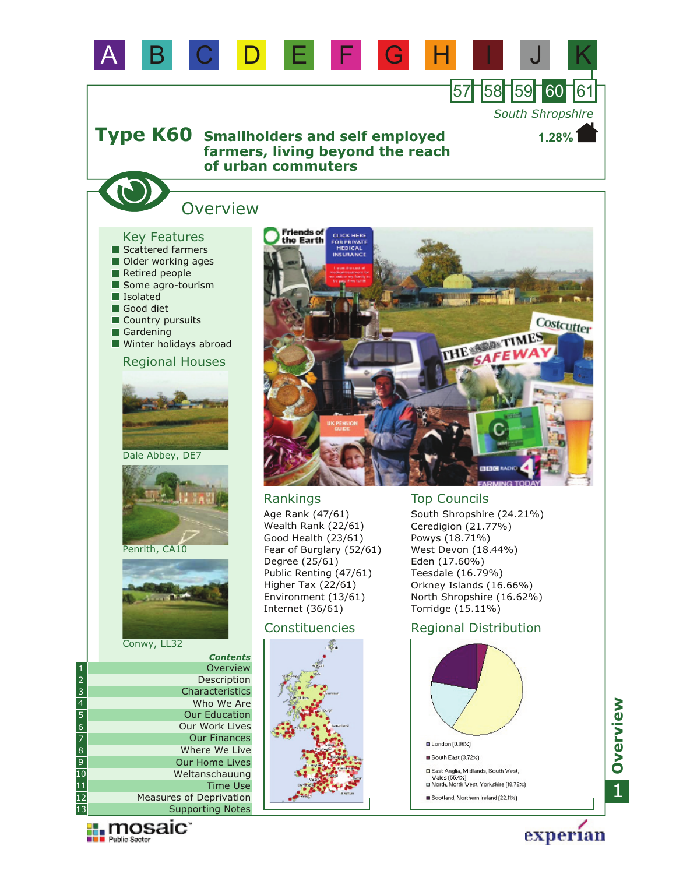

□ East Anglia, Midlands, South West,<br>Wales (55.4%)<br>□ North, North West, Yorkshire (18.72%) Scotland, Northern Ireland (22.11%)

1**Overview**

experian



11 12

Measures of Deprivation

Time Use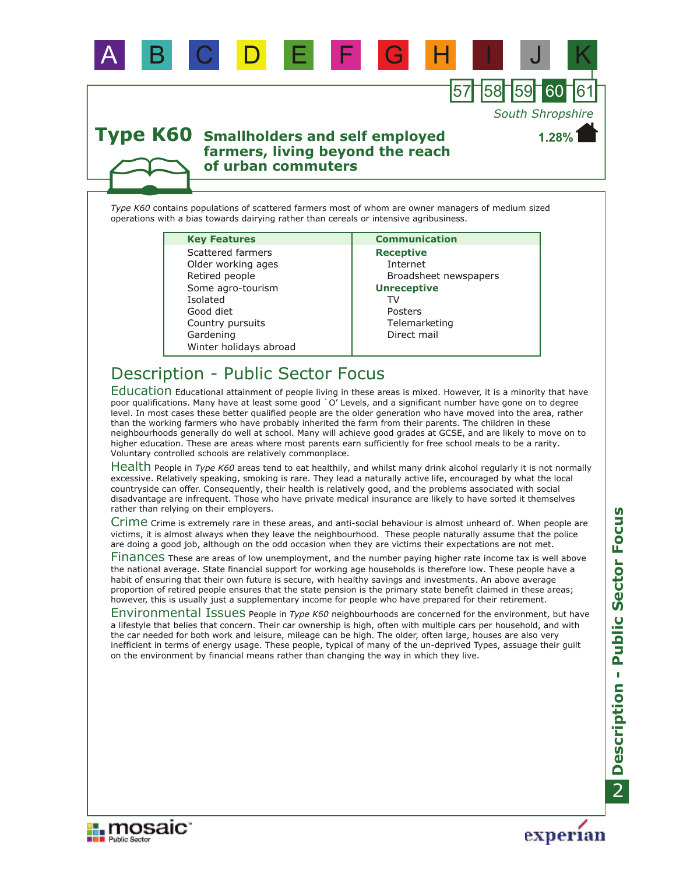

*Type K60* contains populations of scattered farmers most of whom are owner managers of medium sized operations with a bias towards dairying rather than cereals or intensive agribusiness.

A B C D E F G H I J K

#### **Key Features Communication**

Gardening Country pursuits Retired people Some agro-tourism Isolated Winter holidays abroad Good diet Older working ages Scattered farmers

**Receptive** Internet Broadsheet newspapers Direct mail **Unreceptive Telemarketing** Posters TV

57 158 159

*South Shropshire*

**1.28%**

# Description - Public Sector Focus

Education Educational attainment of people living in these areas is mixed. However, it is a minority that have poor qualifications. Many have at least some good `O' Levels, and a significant number have gone on to degree level. In most cases these better qualified people are the older generation who have moved into the area, rather than the working farmers who have probably inherited the farm from their parents. The children in these neighbourhoods generally do well at school. Many will achieve good grades at GCSE, and are likely to move on to higher education. These are areas where most parents earn sufficiently for free school meals to be a rarity. Voluntary controlled schools are relatively commonplace.

Health People in *Type K60* areas tend to eat healthily, and whilst many drink alcohol regularly it is not normally excessive. Relatively speaking, smoking is rare. They lead a naturally active life, encouraged by what the local countryside can offer. Consequently, their health is relatively good, and the problems associated with social disadvantage are infrequent. Those who have private medical insurance are likely to have sorted it themselves rather than relying on their employers.

Crime Crime is extremely rare in these areas, and anti-social behaviour is almost unheard of. When people are victims, it is almost always when they leave the neighbourhood. These people naturally assume that the police are doing a good job, although on the odd occasion when they are victims their expectations are not met.

Finances These are areas of low unemployment, and the number paying higher rate income tax is well above the national average. State financial support for working age households is therefore low. These people have a habit of ensuring that their own future is secure, with healthy savings and investments. An above average proportion of retired people ensures that the state pension is the primary state benefit claimed in these areas; however, this is usually just a supplementary income for people who have prepared for their retirement.

Environmental Issues People in *Type K60* neighbourhoods are concerned for the environment, but have a lifestyle that belies that concern. Their car ownership is high, often with multiple cars per household, and with the car needed for both work and leisure, mileage can be high. The older, often large, houses are also very inefficient in terms of energy usage. These people, typical of many of the un-deprived Types, assuage their guilt on the environment by financial means rather than changing the way in which they live.



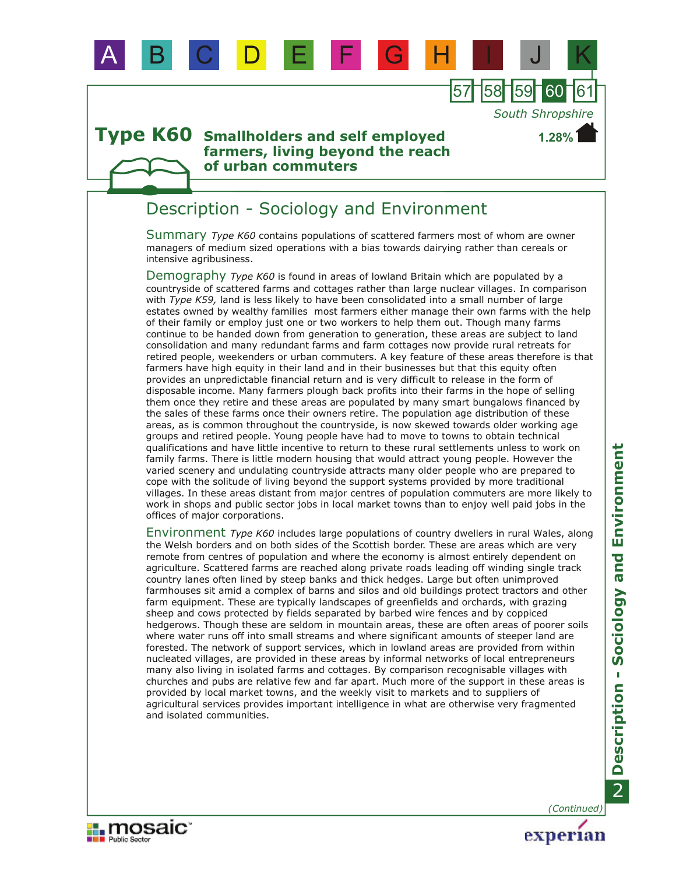

A B C D E F G H I J K

### Description - Sociology and Environment

Summary *Type K60* contains populations of scattered farmers most of whom are owner managers of medium sized operations with a bias towards dairying rather than cereals or intensive agribusiness.

Demography *Type K60* is found in areas of lowland Britain which are populated by a countryside of scattered farms and cottages rather than large nuclear villages. In comparison with *Type K59,* land is less likely to have been consolidated into a small number of large estates owned by wealthy families most farmers either manage their own farms with the help of their family or employ just one or two workers to help them out. Though many farms continue to be handed down from generation to generation, these areas are subject to land consolidation and many redundant farms and farm cottages now provide rural retreats for retired people, weekenders or urban commuters. A key feature of these areas therefore is that farmers have high equity in their land and in their businesses but that this equity often provides an unpredictable financial return and is very difficult to release in the form of disposable income. Many farmers plough back profits into their farms in the hope of selling them once they retire and these areas are populated by many smart bungalows financed by the sales of these farms once their owners retire. The population age distribution of these areas, as is common throughout the countryside, is now skewed towards older working age groups and retired people. Young people have had to move to towns to obtain technical qualifications and have little incentive to return to these rural settlements unless to work on family farms. There is little modern housing that would attract young people. However the varied scenery and undulating countryside attracts many older people who are prepared to cope with the solitude of living beyond the support systems provided by more traditional villages. In these areas distant from major centres of population commuters are more likely to work in shops and public sector jobs in local market towns than to enjoy well paid jobs in the offices of major corporations.

Environment Type K60 includes large populations of country dwellers in rural Wales, along the Welsh borders and on both sides of the Scottish border. These are areas which are very remote from centres of population and where the economy is almost entirely dependent on agriculture. Scattered farms are reached along private roads leading off winding single track country lanes often lined by steep banks and thick hedges. Large but often unimproved farmhouses sit amid a complex of barns and silos and old buildings protect tractors and other farm equipment. These are typically landscapes of greenfields and orchards, with grazing sheep and cows protected by fields separated by barbed wire fences and by coppiced hedgerows. Though these are seldom in mountain areas, these are often areas of poorer soils where water runs off into small streams and where significant amounts of steeper land are forested. The network of support services, which in lowland areas are provided from within nucleated villages, are provided in these areas by informal networks of local entrepreneurs many also living in isolated farms and cottages. By comparison recognisable villages with churches and pubs are relative few and far apart. Much more of the support in these areas is provided by local market towns, and the weekly visit to markets and to suppliers of agricultural services provides important intelligence in what are otherwise very fragmented and isolated communities.

*(Continued)*

experian

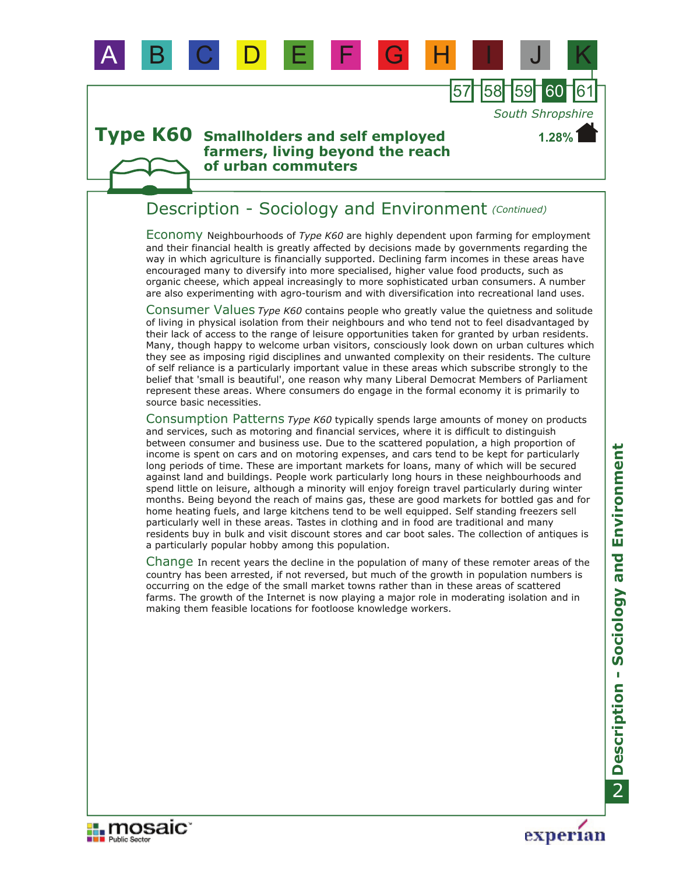

### Description - Sociology and Environment *(Continued)*

A B C D E F G H I J K

Economy Neighbourhoods of *Type K60* are highly dependent upon farming for employment and their financial health is greatly affected by decisions made by governments regarding the way in which agriculture is financially supported. Declining farm incomes in these areas have encouraged many to diversify into more specialised, higher value food products, such as organic cheese, which appeal increasingly to more sophisticated urban consumers. A number are also experimenting with agro-tourism and with diversification into recreational land uses.

Consumer Values Type K60 contains people who greatly value the quietness and solitude of living in physical isolation from their neighbours and who tend not to feel disadvantaged by their lack of access to the range of leisure opportunities taken for granted by urban residents. Many, though happy to welcome urban visitors, consciously look down on urban cultures which they see as imposing rigid disciplines and unwanted complexity on their residents. The culture of self reliance is a particularly important value in these areas which subscribe strongly to the belief that 'small is beautiful', one reason why many Liberal Democrat Members of Parliament represent these areas. Where consumers do engage in the formal economy it is primarily to source basic necessities.

Consumption Patterns *Type K60* typically spends large amounts of money on products and services, such as motoring and financial services, where it is difficult to distinguish between consumer and business use. Due to the scattered population, a high proportion of income is spent on cars and on motoring expenses, and cars tend to be kept for particularly long periods of time. These are important markets for loans, many of which will be secured against land and buildings. People work particularly long hours in these neighbourhoods and spend little on leisure, although a minority will enjoy foreign travel particularly during winter months. Being beyond the reach of mains gas, these are good markets for bottled gas and for home heating fuels, and large kitchens tend to be well equipped. Self standing freezers sell particularly well in these areas. Tastes in clothing and in food are traditional and many residents buy in bulk and visit discount stores and car boot sales. The collection of antiques is a particularly popular hobby among this population.

Change In recent years the decline in the population of many of these remoter areas of the country has been arrested, if not reversed, but much of the growth in population numbers is occurring on the edge of the small market towns rather than in these areas of scattered farms. The growth of the Internet is now playing a major role in moderating isolation and in making them feasible locations for footloose knowledge workers.





**1.28%**